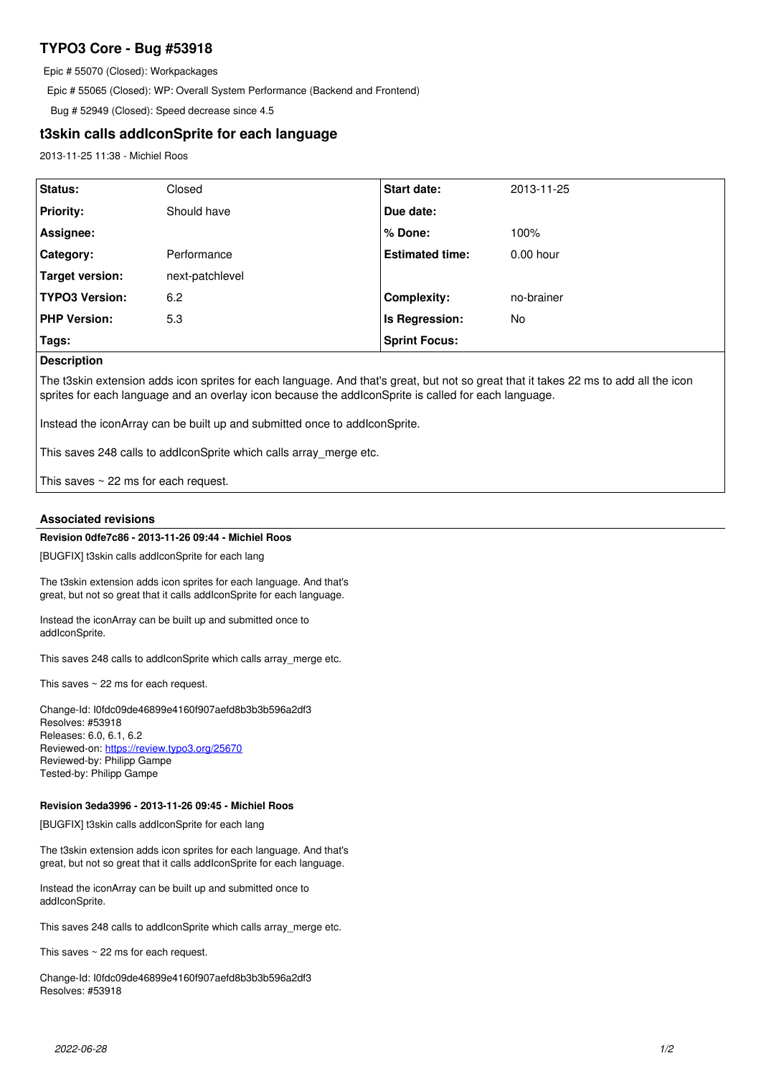# **TYPO3 Core - Bug #53918**

Epic # 55070 (Closed): Workpackages

Epic # 55065 (Closed): WP: Overall System Performance (Backend and Frontend)

Bug # 52949 (Closed): Speed decrease since 4.5

# **t3skin calls addIconSprite for each language**

2013-11-25 11:38 - Michiel Roos

| Status:               | Closed          | Start date:            | 2013-11-25  |
|-----------------------|-----------------|------------------------|-------------|
| <b>Priority:</b>      | Should have     | Due date:              |             |
| Assignee:             |                 | % Done:                | 100%        |
| Category:             | Performance     | <b>Estimated time:</b> | $0.00$ hour |
| Target version:       | next-patchlevel |                        |             |
| <b>TYPO3 Version:</b> | 6.2             | <b>Complexity:</b>     | no-brainer  |
| <b>PHP Version:</b>   | 5.3             | Is Regression:         | No.         |
| Tags:                 |                 | <b>Sprint Focus:</b>   |             |

## **Description**

The t3skin extension adds icon sprites for each language. And that's great, but not so great that it takes 22 ms to add all the icon sprites for each language and an overlay icon because the addIconSprite is called for each language.

Instead the iconArray can be built up and submitted once to addIconSprite.

This saves 248 calls to addIconSprite which calls array\_merge etc.

This saves  $\sim$  22 ms for each request.

## **Associated revisions**

# **Revision 0dfe7c86 - 2013-11-26 09:44 - Michiel Roos**

[BUGFIX] t3skin calls addIconSprite for each lang

The t3skin extension adds icon sprites for each language. And that's great, but not so great that it calls addIconSprite for each language.

Instead the iconArray can be built up and submitted once to addIconSprite.

This saves 248 calls to addIconSprite which calls array merge etc.

This saves  $\sim$  22 ms for each request.

Change-Id: I0fdc09de46899e4160f907aefd8b3b3b596a2df3 Resolves: #53918 Releases: 6.0, 6.1, 6.2 Reviewed-on:<https://review.typo3.org/25670> Reviewed-by: Philipp Gampe Tested-by: Philipp Gampe

### **Revision 3eda3996 - 2013-11-26 09:45 - Michiel Roos**

[BUGFIX] t3skin calls addIconSprite for each lang

The t3skin extension adds icon sprites for each language. And that's great, but not so great that it calls addIconSprite for each language.

Instead the iconArray can be built up and submitted once to addIconSprite.

This saves 248 calls to addIconSprite which calls array\_merge etc.

This saves ~ 22 ms for each request.

Change-Id: I0fdc09de46899e4160f907aefd8b3b3b596a2df3 Resolves: #53918